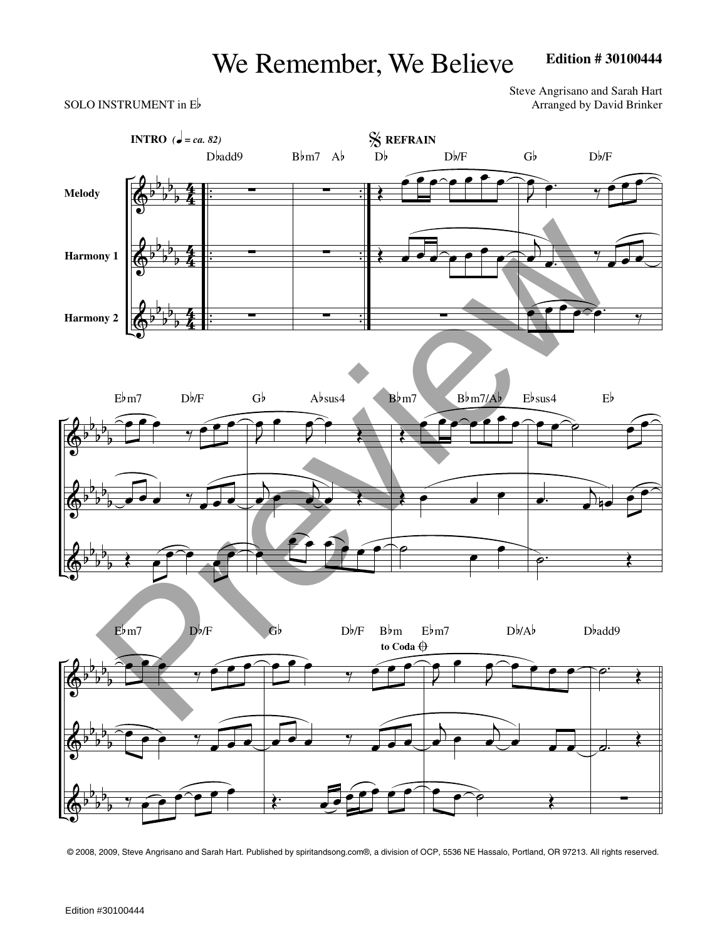## We Remember, We Believe

## **Edition # 30100444**

Steve Angrisano and Sarah Hart SOLO INSTRUMENT in  $E$  Arranged by David Brinker



© 2008, 2009, Steve Angrisano and Sarah Hart. Published by spiritandsong.com®, a division of OCP, 5536 NE Hassalo, Portland, OR 97213. All rights reserved.